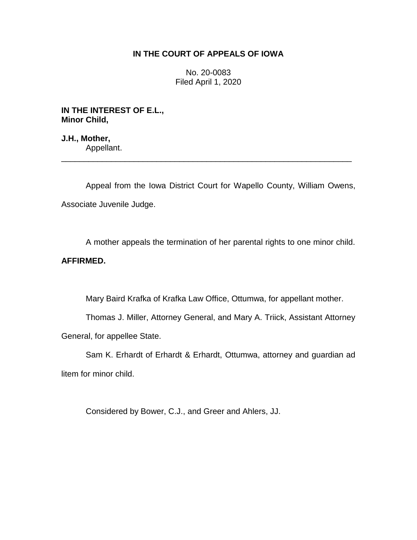## **IN THE COURT OF APPEALS OF IOWA**

No. 20-0083 Filed April 1, 2020

**IN THE INTEREST OF E.L., Minor Child,**

**J.H., Mother,** Appellant.

Appeal from the Iowa District Court for Wapello County, William Owens, Associate Juvenile Judge.

\_\_\_\_\_\_\_\_\_\_\_\_\_\_\_\_\_\_\_\_\_\_\_\_\_\_\_\_\_\_\_\_\_\_\_\_\_\_\_\_\_\_\_\_\_\_\_\_\_\_\_\_\_\_\_\_\_\_\_\_\_\_\_\_

A mother appeals the termination of her parental rights to one minor child.

# **AFFIRMED.**

Mary Baird Krafka of Krafka Law Office, Ottumwa, for appellant mother.

Thomas J. Miller, Attorney General, and Mary A. Triick, Assistant Attorney General, for appellee State.

Sam K. Erhardt of Erhardt & Erhardt, Ottumwa, attorney and guardian ad litem for minor child.

Considered by Bower, C.J., and Greer and Ahlers, JJ.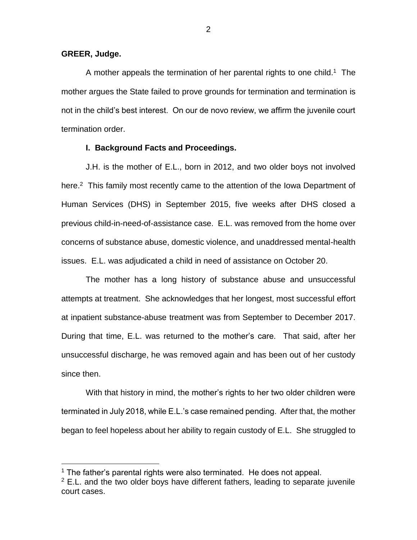#### **GREER, Judge.**

 $\overline{a}$ 

A mother appeals the termination of her parental rights to one child.<sup>1</sup> The mother argues the State failed to prove grounds for termination and termination is not in the child's best interest. On our de novo review, we affirm the juvenile court termination order.

#### **I. Background Facts and Proceedings.**

J.H. is the mother of E.L., born in 2012, and two older boys not involved here.<sup>2</sup> This family most recently came to the attention of the lowa Department of Human Services (DHS) in September 2015, five weeks after DHS closed a previous child-in-need-of-assistance case. E.L. was removed from the home over concerns of substance abuse, domestic violence, and unaddressed mental-health issues. E.L. was adjudicated a child in need of assistance on October 20.

The mother has a long history of substance abuse and unsuccessful attempts at treatment. She acknowledges that her longest, most successful effort at inpatient substance-abuse treatment was from September to December 2017. During that time, E.L. was returned to the mother's care. That said, after her unsuccessful discharge, he was removed again and has been out of her custody since then.

With that history in mind, the mother's rights to her two older children were terminated in July 2018, while E.L.'s case remained pending. After that, the mother began to feel hopeless about her ability to regain custody of E.L. She struggled to

 $1$  The father's parental rights were also terminated. He does not appeal.

 $2$  E.L. and the two older boys have different fathers, leading to separate juvenile court cases.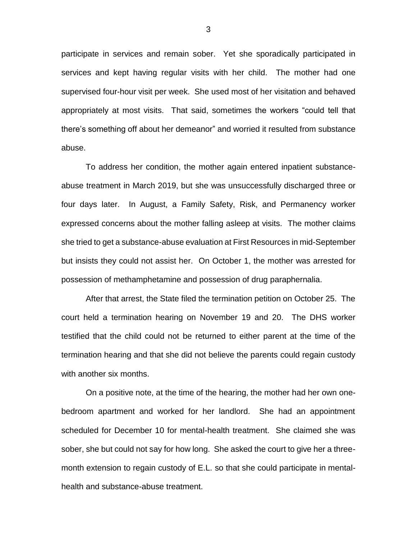participate in services and remain sober. Yet she sporadically participated in services and kept having regular visits with her child. The mother had one supervised four-hour visit per week. She used most of her visitation and behaved appropriately at most visits. That said, sometimes the workers "could tell that there's something off about her demeanor" and worried it resulted from substance abuse.

To address her condition, the mother again entered inpatient substanceabuse treatment in March 2019, but she was unsuccessfully discharged three or four days later. In August, a Family Safety, Risk, and Permanency worker expressed concerns about the mother falling asleep at visits. The mother claims she tried to get a substance-abuse evaluation at First Resources in mid-September but insists they could not assist her. On October 1, the mother was arrested for possession of methamphetamine and possession of drug paraphernalia.

After that arrest, the State filed the termination petition on October 25. The court held a termination hearing on November 19 and 20. The DHS worker testified that the child could not be returned to either parent at the time of the termination hearing and that she did not believe the parents could regain custody with another six months.

On a positive note, at the time of the hearing, the mother had her own onebedroom apartment and worked for her landlord. She had an appointment scheduled for December 10 for mental-health treatment. She claimed she was sober, she but could not say for how long. She asked the court to give her a threemonth extension to regain custody of E.L. so that she could participate in mentalhealth and substance-abuse treatment.

3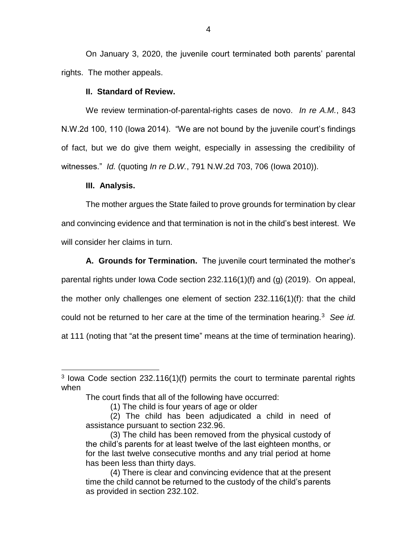On January 3, 2020, the juvenile court terminated both parents' parental rights. The mother appeals.

#### **II. Standard of Review.**

We review termination-of-parental-rights cases de novo. *In re A.M.*, 843 N.W.2d 100, 110 (Iowa 2014). "We are not bound by the juvenile court's findings of fact, but we do give them weight, especially in assessing the credibility of witnesses." *Id.* (quoting *In re D.W.*, 791 N.W.2d 703, 706 (Iowa 2010)).

#### **III. Analysis.**

 $\overline{a}$ 

The mother argues the State failed to prove grounds for termination by clear and convincing evidence and that termination is not in the child's best interest. We will consider her claims in turn.

**A. Grounds for Termination.** The juvenile court terminated the mother's parental rights under Iowa Code section 232.116(1)(f) and (g) (2019). On appeal, the mother only challenges one element of section 232.116(1)(f): that the child could not be returned to her care at the time of the termination hearing.<sup>3</sup> *See id.*  at 111 (noting that "at the present time" means at the time of termination hearing).

<sup>&</sup>lt;sup>3</sup> lowa Code section 232.116(1)(f) permits the court to terminate parental rights when

The court finds that all of the following have occurred:

<sup>(1)</sup> The child is four years of age or older

<sup>(2)</sup> The child has been adjudicated a child in need of assistance pursuant to section 232.96.

<sup>(3)</sup> The child has been removed from the physical custody of the child's parents for at least twelve of the last eighteen months, or for the last twelve consecutive months and any trial period at home has been less than thirty days.

<sup>(4)</sup> There is clear and convincing evidence that at the present time the child cannot be returned to the custody of the child's parents as provided in section 232.102.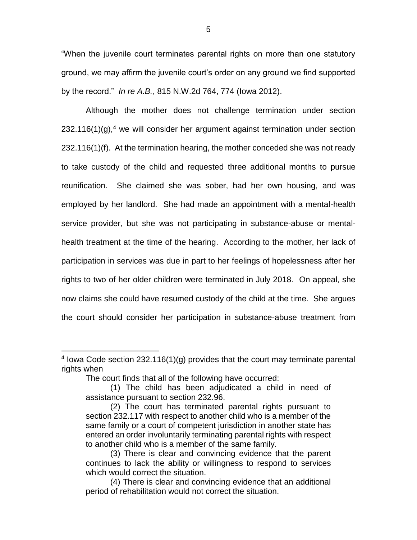"When the juvenile court terminates parental rights on more than one statutory ground, we may affirm the juvenile court's order on any ground we find supported by the record." *In re A.B.*, 815 N.W.2d 764, 774 (Iowa 2012).

Although the mother does not challenge termination under section  $232.116(1)(q)$ ,<sup>4</sup> we will consider her argument against termination under section 232.116(1)(f). At the termination hearing, the mother conceded she was not ready to take custody of the child and requested three additional months to pursue reunification. She claimed she was sober, had her own housing, and was employed by her landlord. She had made an appointment with a mental-health service provider, but she was not participating in substance-abuse or mentalhealth treatment at the time of the hearing. According to the mother, her lack of participation in services was due in part to her feelings of hopelessness after her rights to two of her older children were terminated in July 2018. On appeal, she now claims she could have resumed custody of the child at the time. She argues the court should consider her participation in substance-abuse treatment from

 $\overline{a}$ 

<sup>4</sup> Iowa Code section 232.116(1)(g) provides that the court may terminate parental rights when

The court finds that all of the following have occurred:

<sup>(1)</sup> The child has been adjudicated a child in need of assistance pursuant to section 232.96.

<sup>(2)</sup> The court has terminated parental rights pursuant to section 232.117 with respect to another child who is a member of the same family or a court of competent jurisdiction in another state has entered an order involuntarily terminating parental rights with respect to another child who is a member of the same family.

<sup>(3)</sup> There is clear and convincing evidence that the parent continues to lack the ability or willingness to respond to services which would correct the situation.

<sup>(4)</sup> There is clear and convincing evidence that an additional period of rehabilitation would not correct the situation.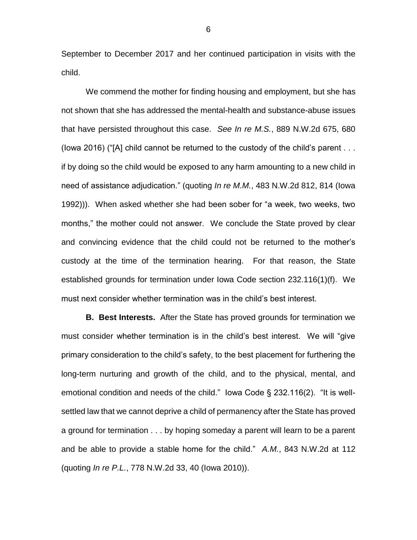September to December 2017 and her continued participation in visits with the child.

We commend the mother for finding housing and employment, but she has not shown that she has addressed the mental-health and substance-abuse issues that have persisted throughout this case. *See In re M.S.*, 889 N.W.2d 675, 680 (Iowa 2016) ("[A] child cannot be returned to the custody of the child's parent . . . if by doing so the child would be exposed to any harm amounting to a new child in need of assistance adjudication." (quoting *In re M.M.*, 483 N.W.2d 812, 814 (Iowa 1992))). When asked whether she had been sober for "a week, two weeks, two months," the mother could not answer. We conclude the State proved by clear and convincing evidence that the child could not be returned to the mother's custody at the time of the termination hearing. For that reason, the State established grounds for termination under Iowa Code section 232.116(1)(f). We must next consider whether termination was in the child's best interest.

**B. Best Interests.** After the State has proved grounds for termination we must consider whether termination is in the child's best interest. We will "give primary consideration to the child's safety, to the best placement for furthering the long-term nurturing and growth of the child, and to the physical, mental, and emotional condition and needs of the child." Iowa Code § 232.116(2). "It is wellsettled law that we cannot deprive a child of permanency after the State has proved a ground for termination . . . by hoping someday a parent will learn to be a parent and be able to provide a stable home for the child." *A.M.*, 843 N.W.2d at 112 (quoting *In re P.L.*, 778 N.W.2d 33, 40 (Iowa 2010)).

6